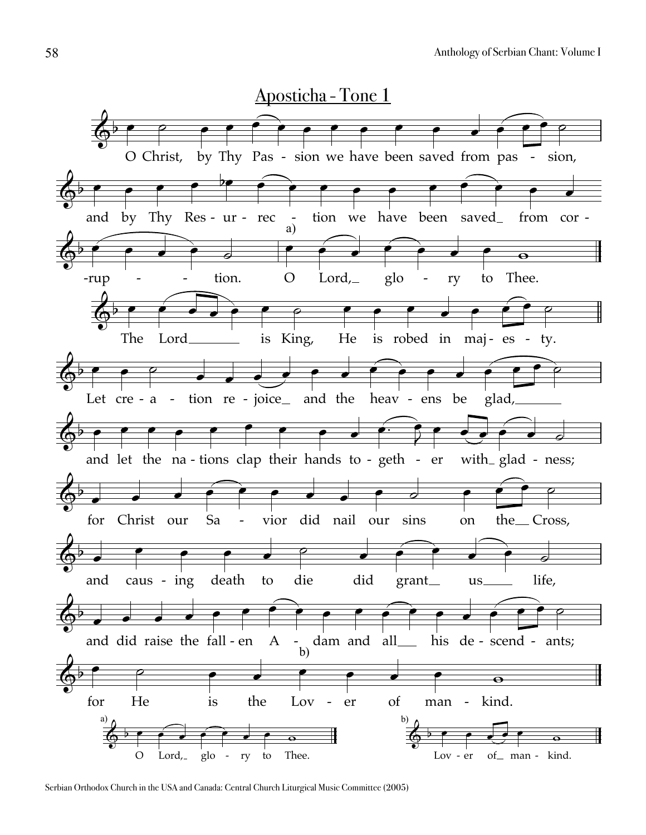

Serbian Orthodox Church in the USA and Canada: Central Church Liturgical Music Committee (2005)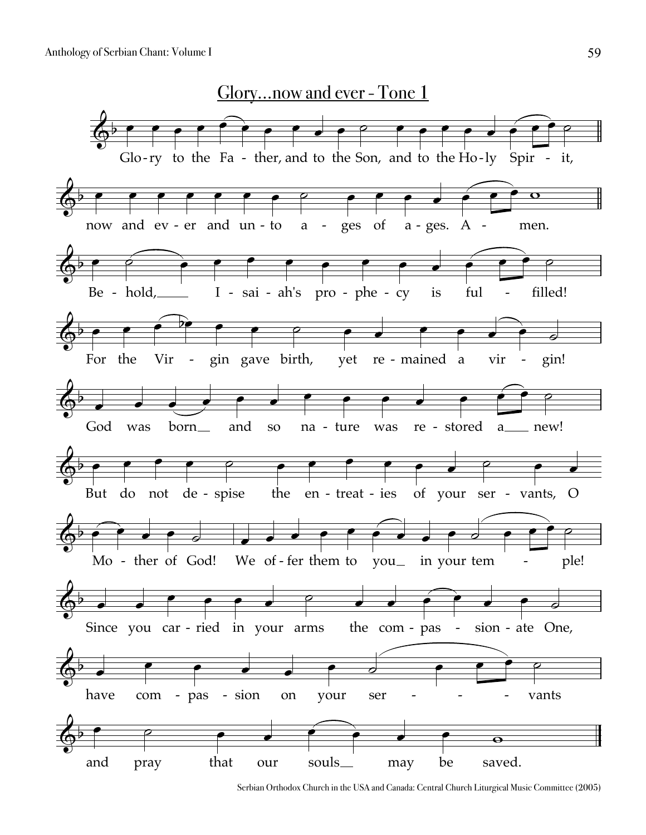

Serbian Orthodox Church in the USA and Canada: Central Church Liturgical Music Committee (2005)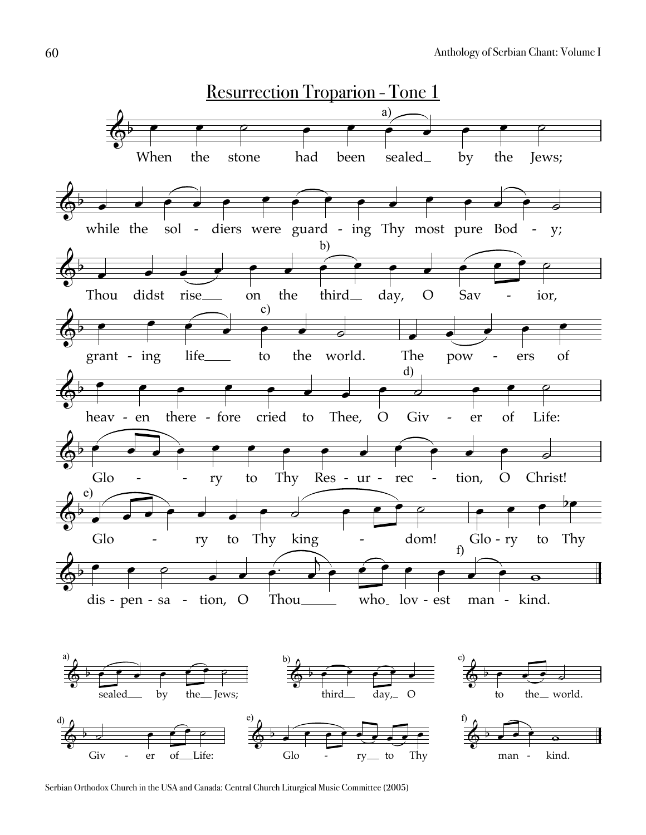

Serbian Orthodox Church in the USA and Canada: Central Church Liturgical Music Committee (2005)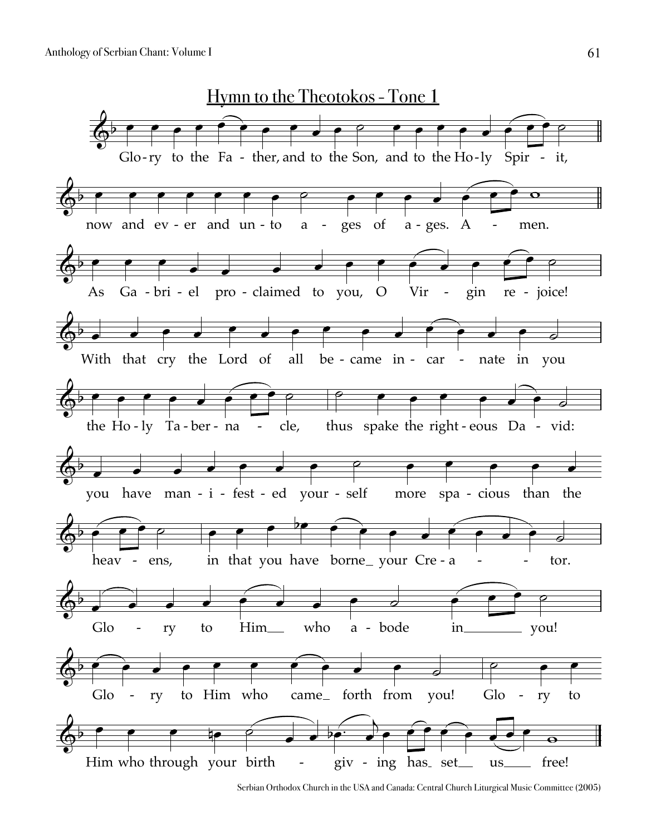

Serbian Orthodox Church in the USA and Canada: Central Church Liturgical Music Committee (2005)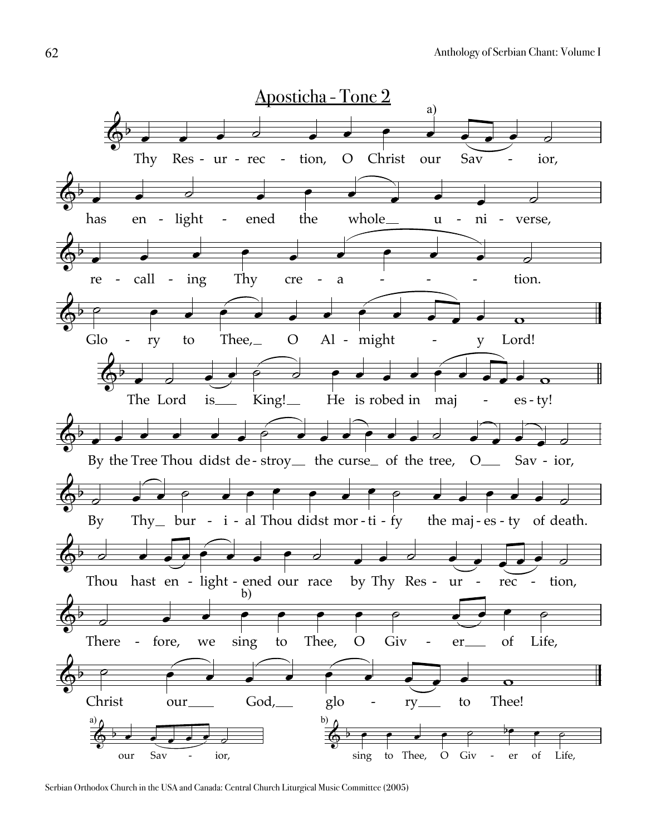

Serbian Orthodox Church in the USA and Canada: Central Church Liturgical Music Committee (2005)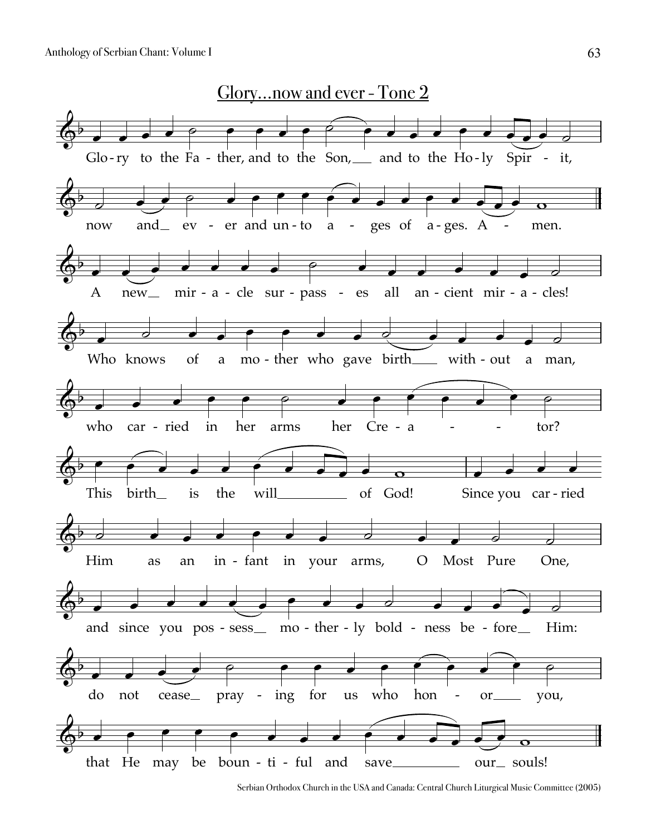

Serbian Orthodox Church in the USA and Canada: Central Church Liturgical Music Committee (2005)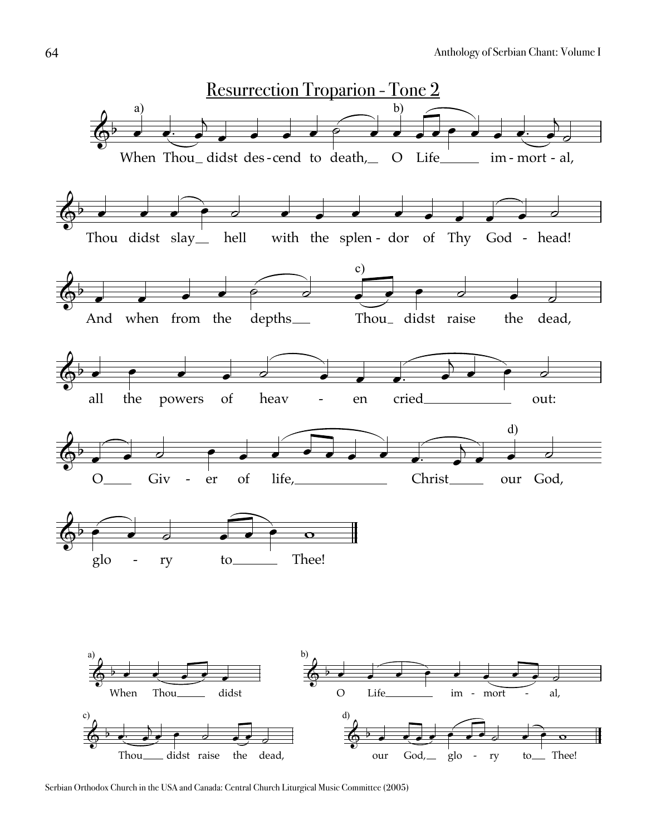

Serbian Orthodox Church in the USA and Canada: Central Church Liturgical Music Committee (2005)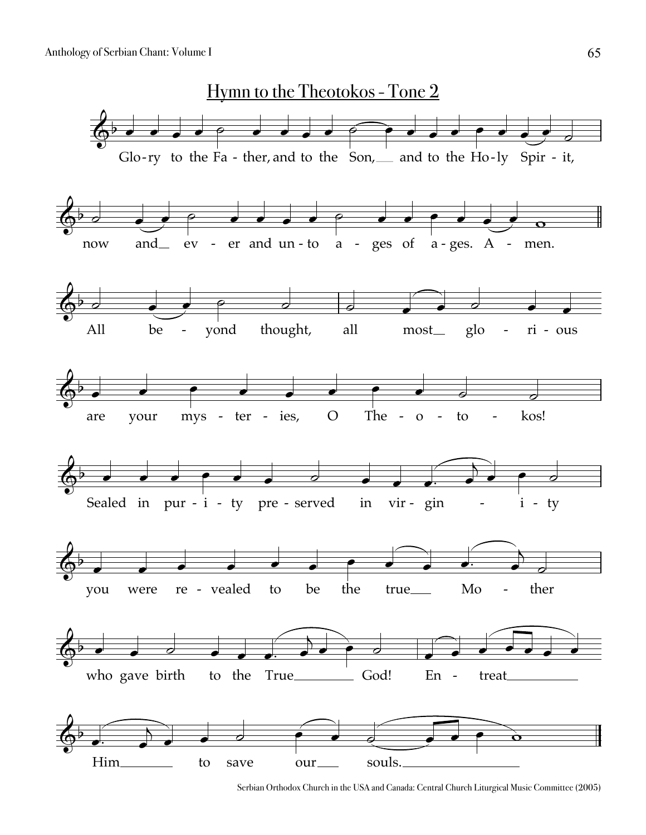

Serbian Orthodox Church in the USA and Canada: Central Church Liturgical Music Committee (2005)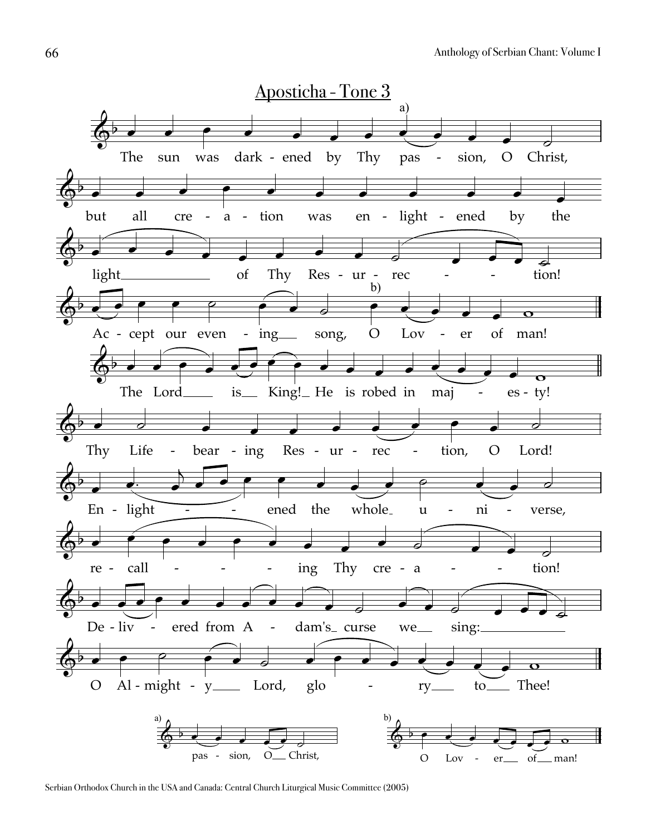

Serbian Orthodox Church in the USA and Canada: Central Church Liturgical Music Committee (2005)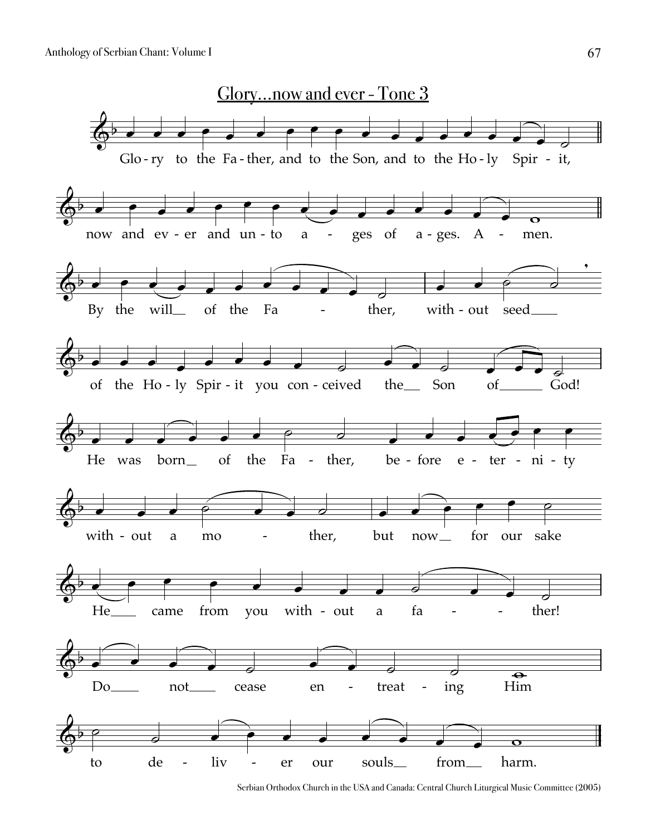

Serbian Orthodox Church in the USA and Canada: Central Church Liturgical Music Committee (2005)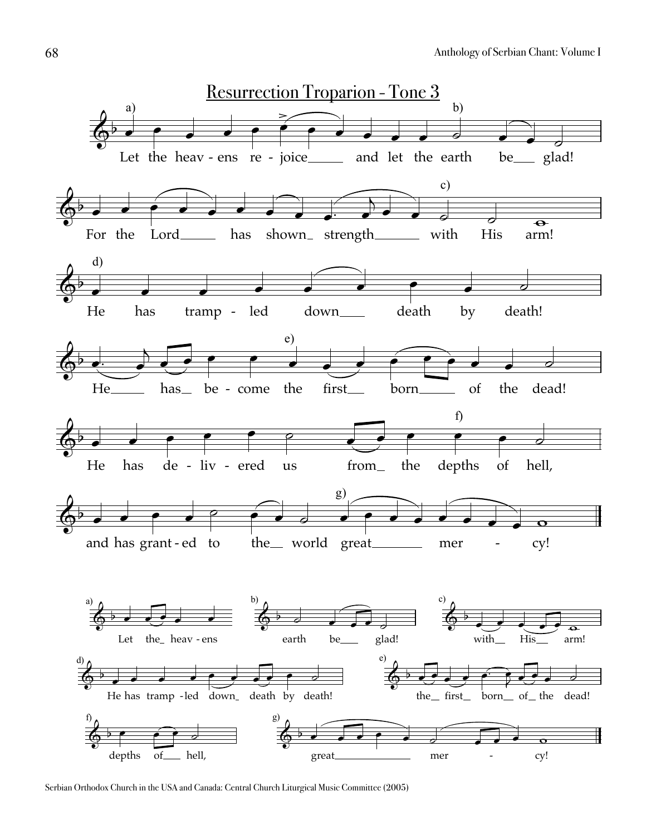

Serbian Orthodox Church in the USA and Canada: Central Church Liturgical Music Committee (2005)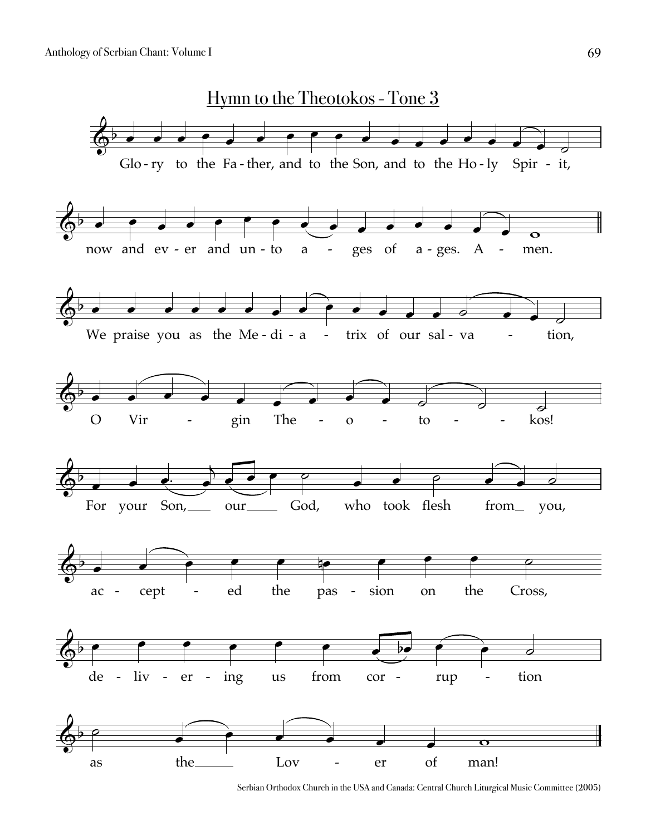

Serbian Orthodox Church in the USA and Canada: Central Church Liturgical Music Committee (2005)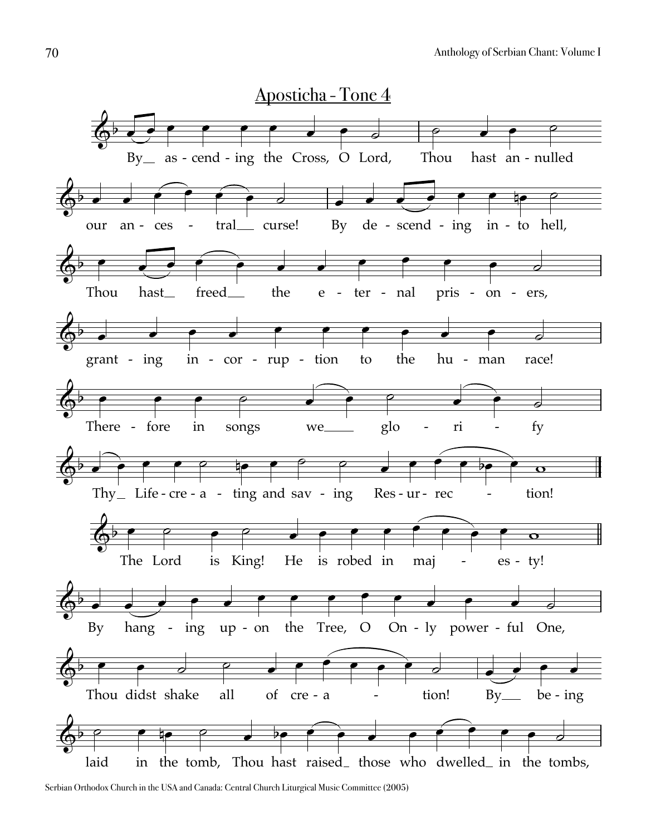

Serbian Orthodox Church in the USA and Canada: Central Church Liturgical Music Committee (2005)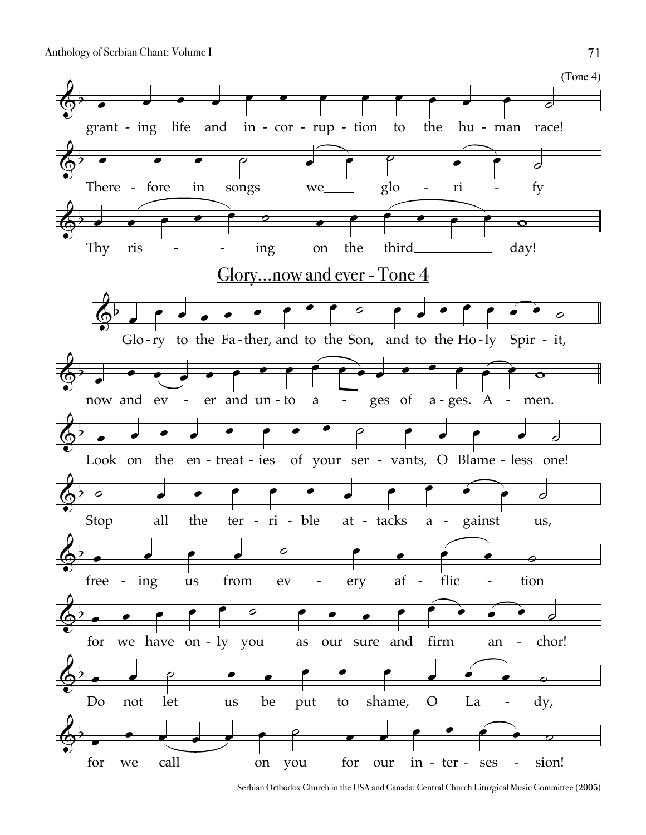

Serbian Orthodox Church in the USA and Canada: Central Church Liturgical Music Committee (2005)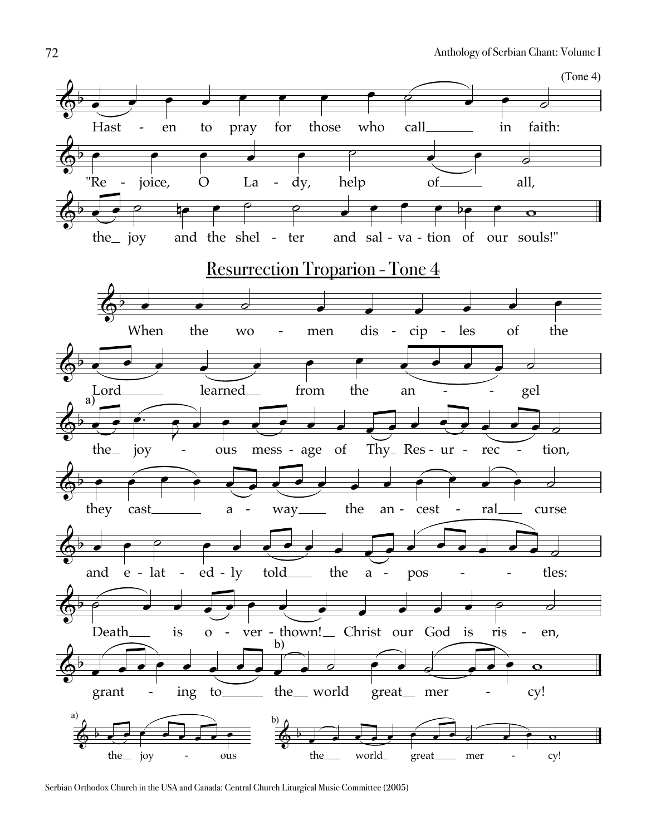

Serbian Orthodox Church in the USA and Canada: Central Church Liturgical Music Committee (2005)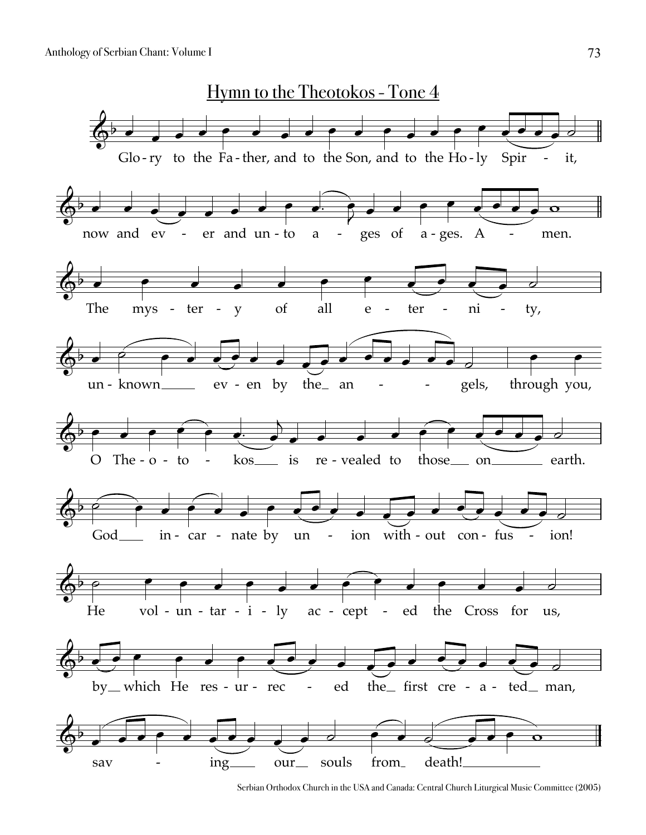

Serbian Orthodox Church in the USA and Canada: Central Church Liturgical Music Committee (2005)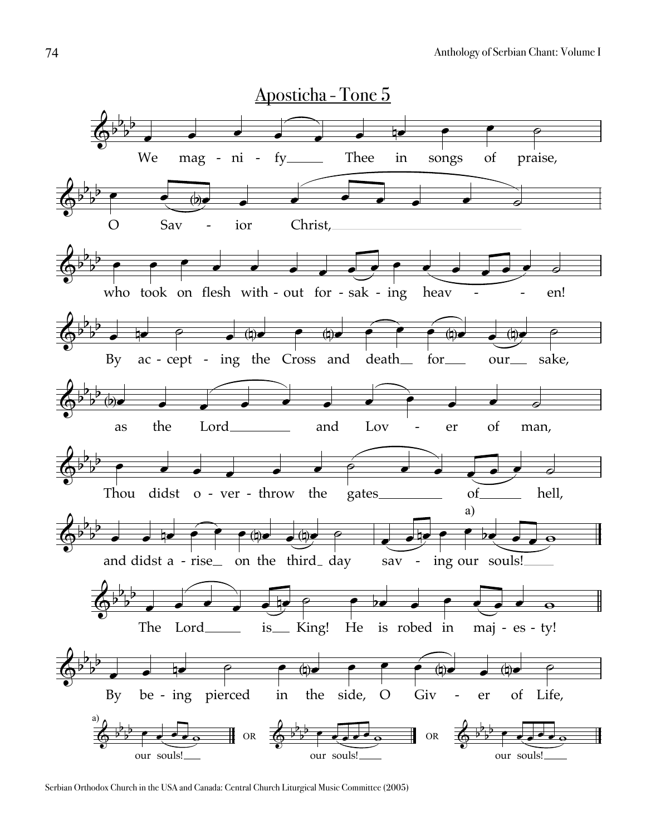

Serbian Orthodox Church in the USA and Canada: Central Church Liturgical Music Committee (2005)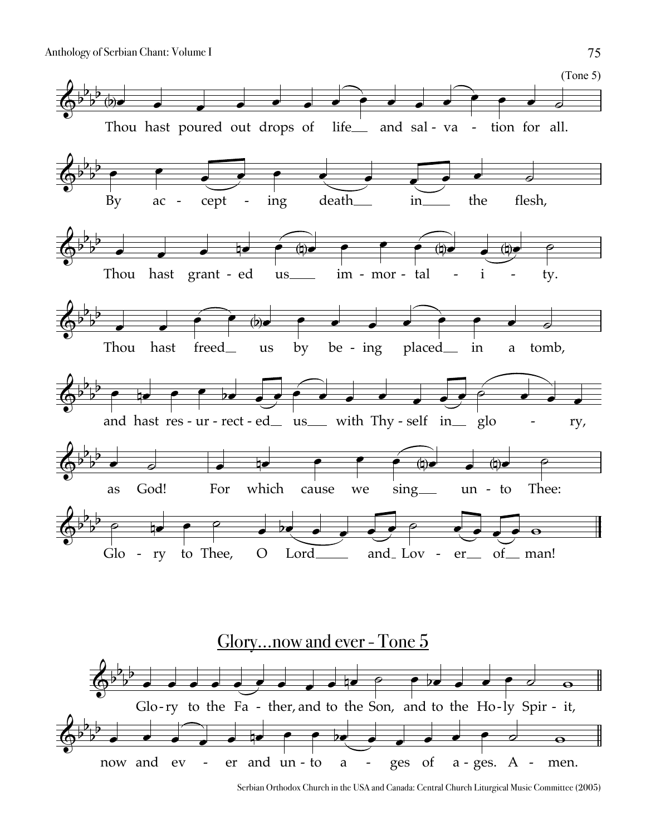



Serbian Orthodox Church in the USA and Canada: Central Church Liturgical Music Committee (2005)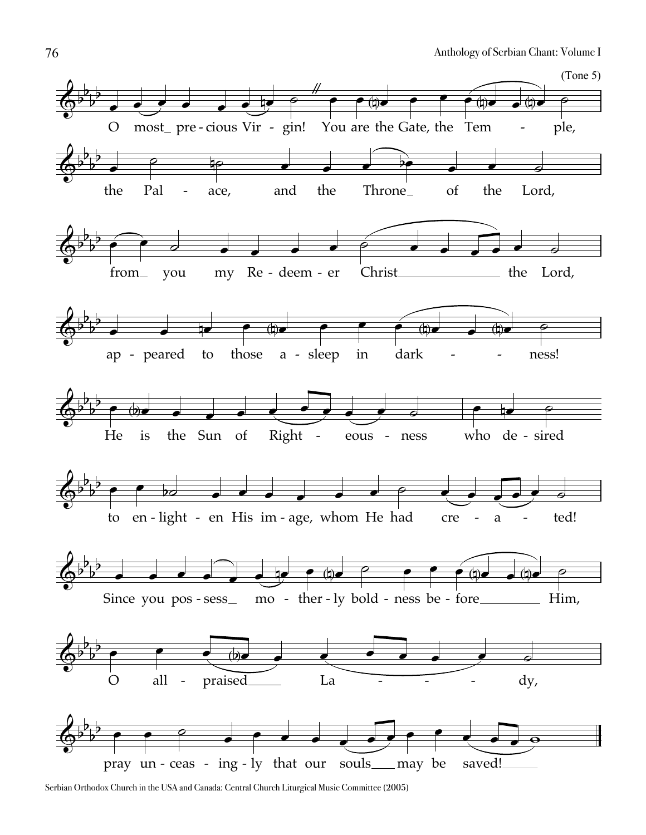

Serbian Orthodox Church in the USA and Canada: Central Church Liturgical Music Committee (2005)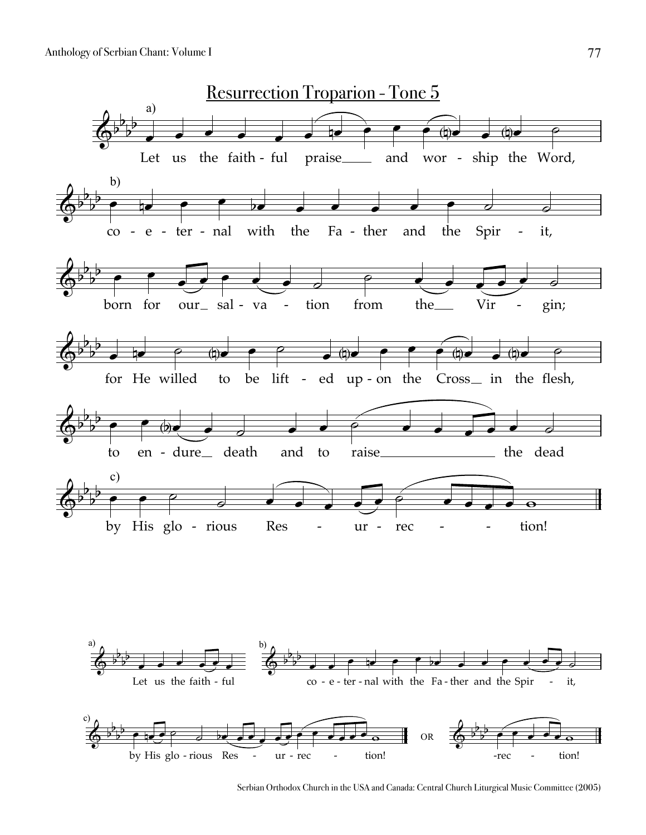

Serbian Orthodox Church in the USA and Canada: Central Church Liturgical Music Committee (2005)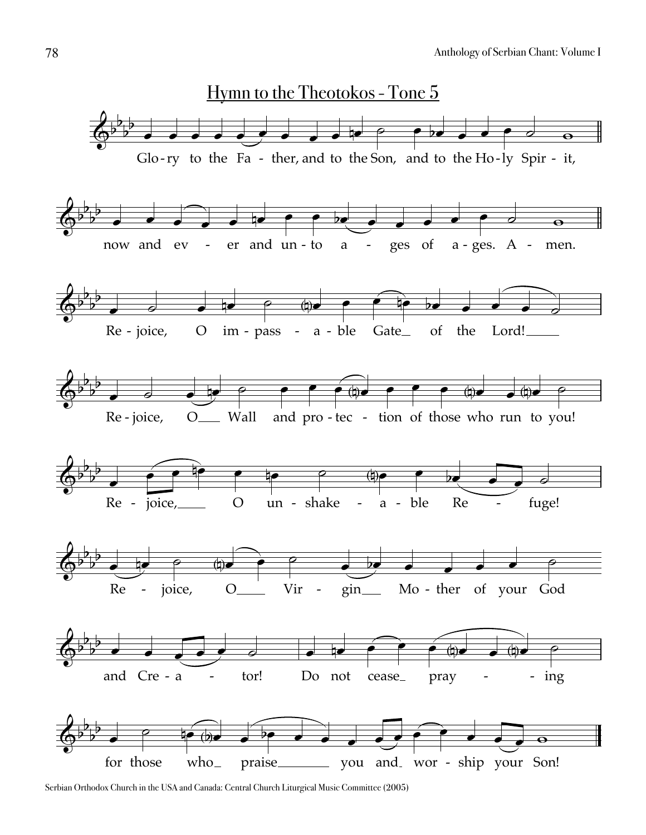

Serbian Orthodox Church in the USA and Canada: Central Church Liturgical Music Committee (2005)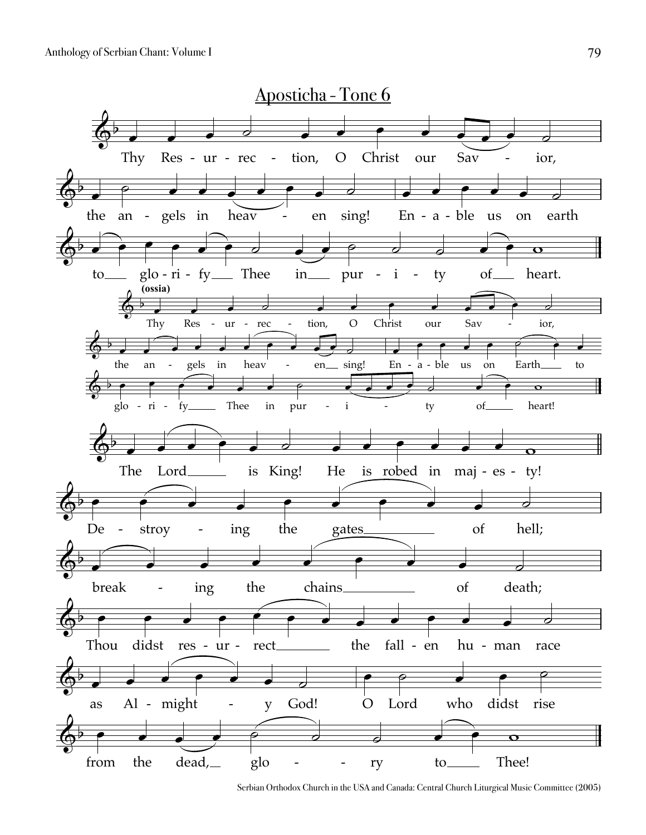

Serbian Orthodox Church in the USA and Canada: Central Church Liturgical Music Committee (2005)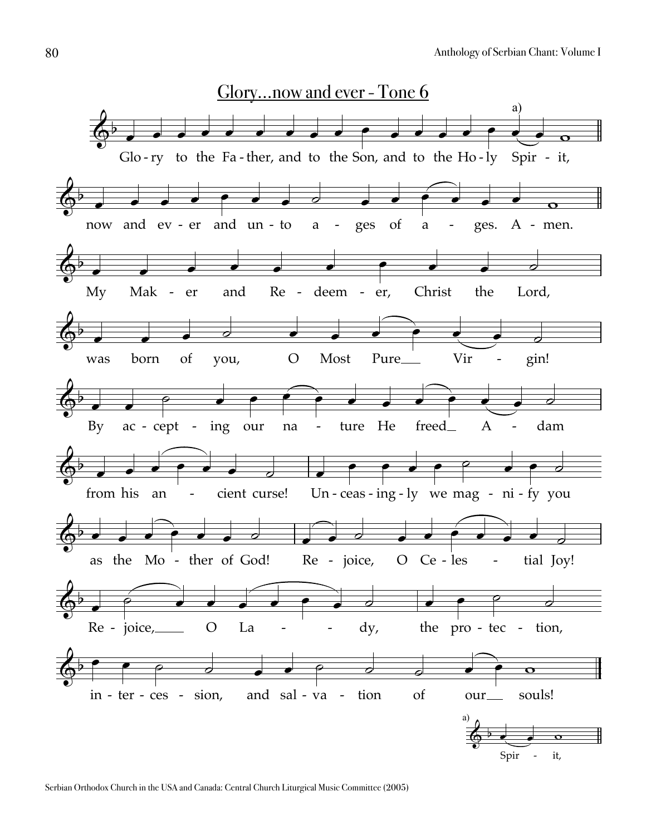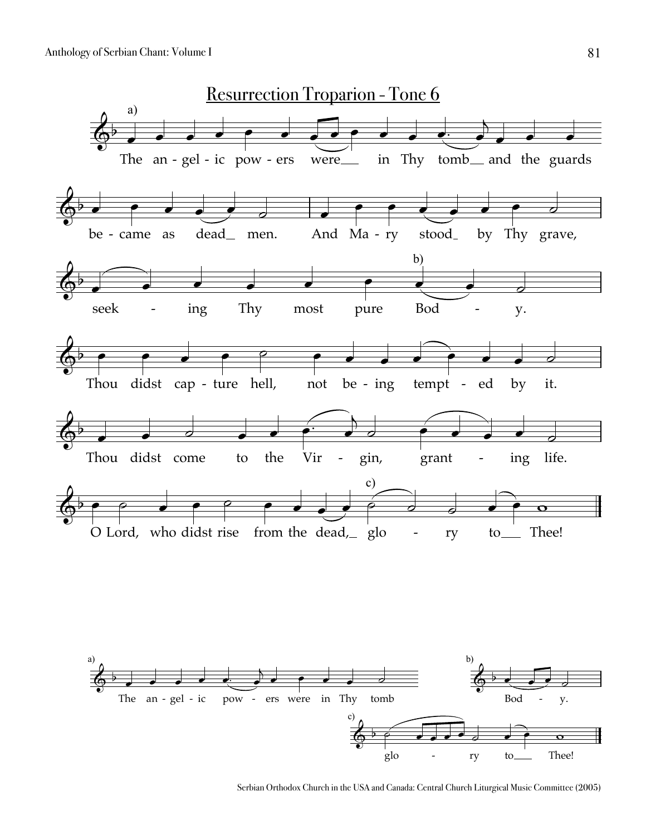

Serbian Orthodox Church in the USA and Canada: Central Church Liturgical Music Committee (2005)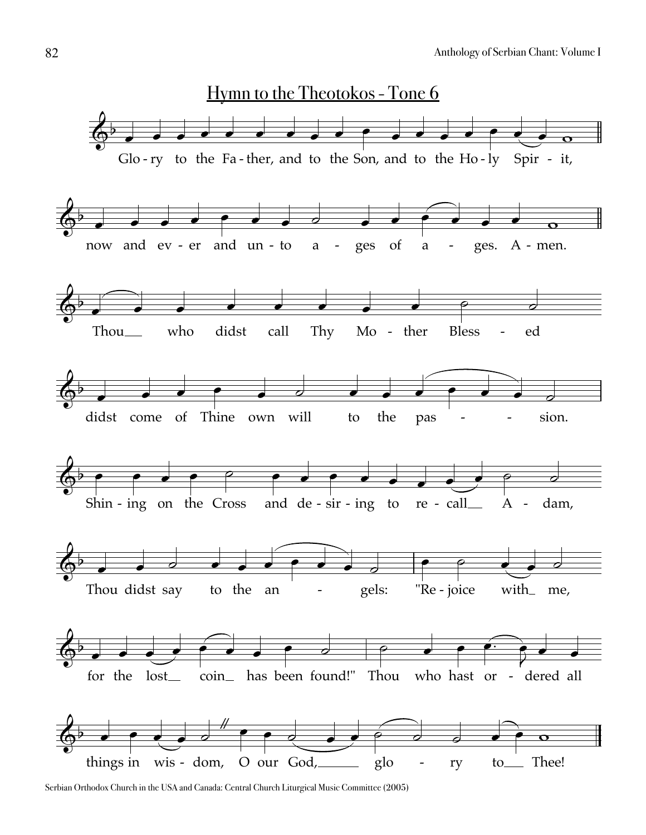

Serbian Orthodox Church in the USA and Canada: Central Church Liturgical Music Committee (2005)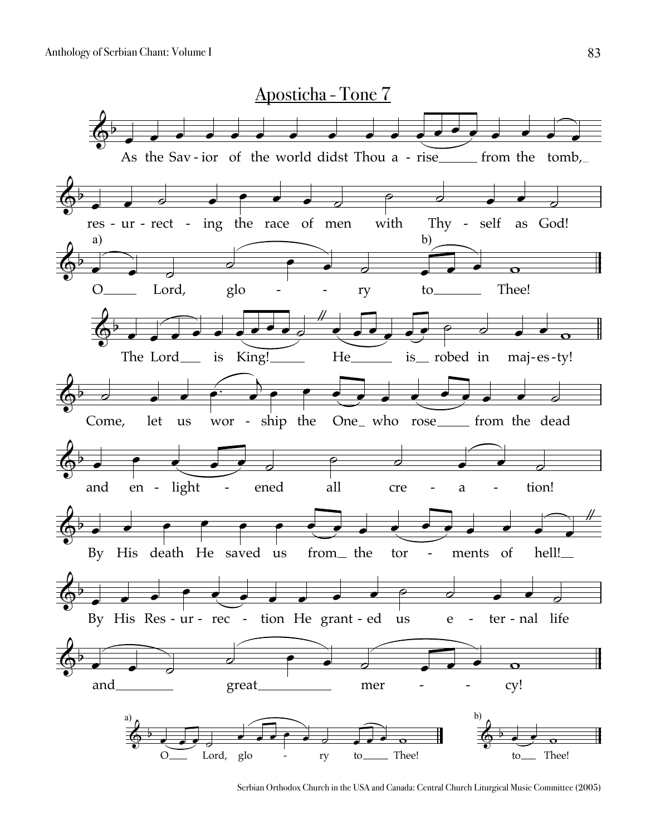

Serbian Orthodox Church in the USA and Canada: Central Church Liturgical Music Committee (2005)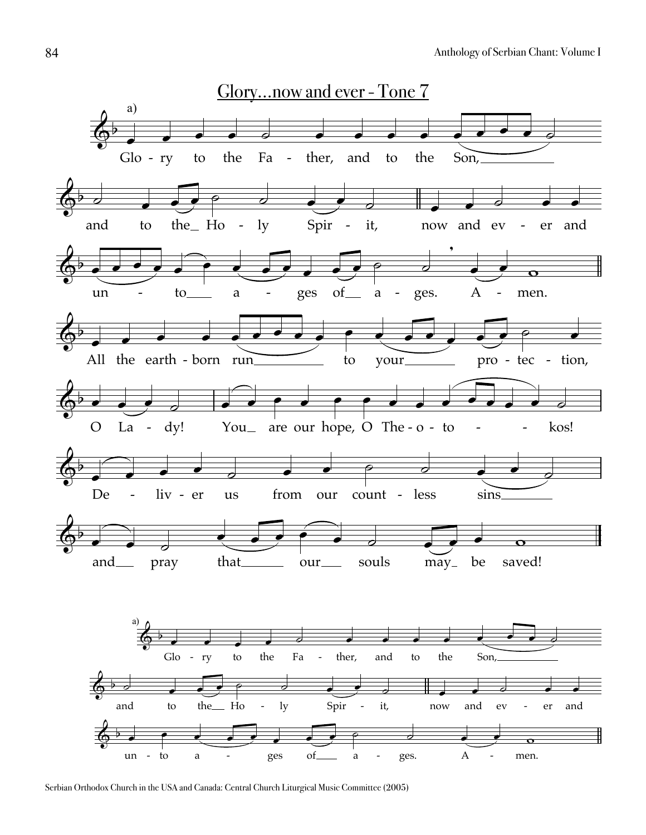

Serbian Orthodox Church in the USA and Canada: Central Church Liturgical Music Committee (2005)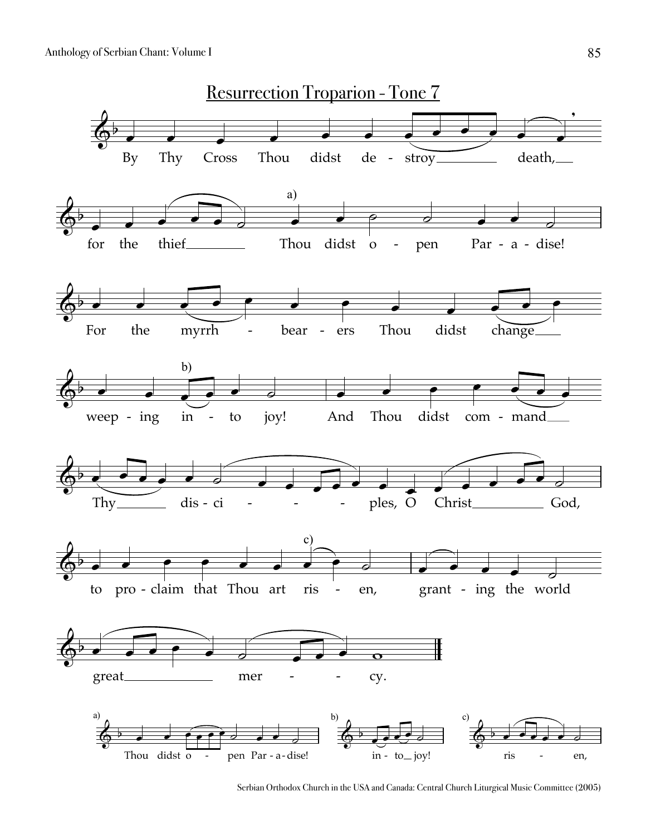

Serbian Orthodox Church in the USA and Canada: Central Church Liturgical Music Committee (2005)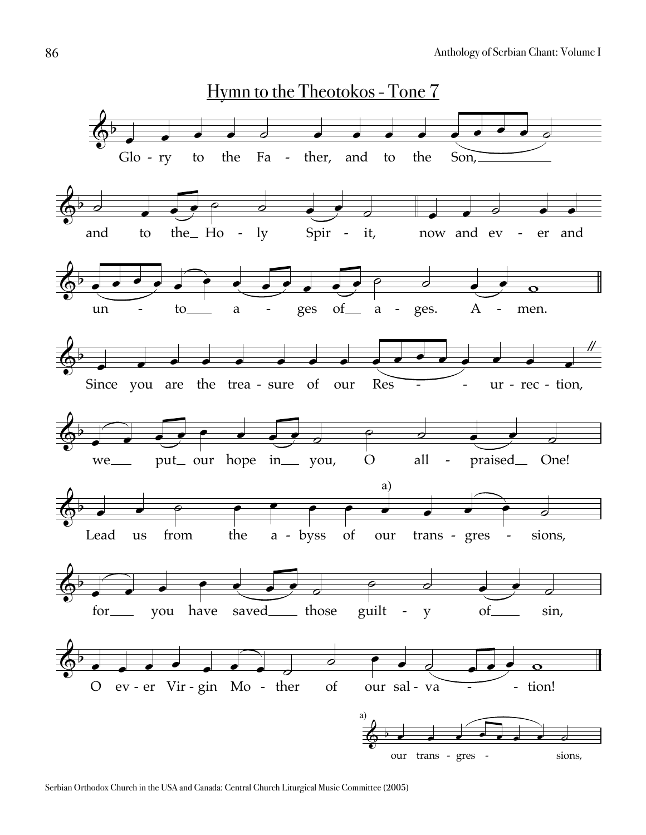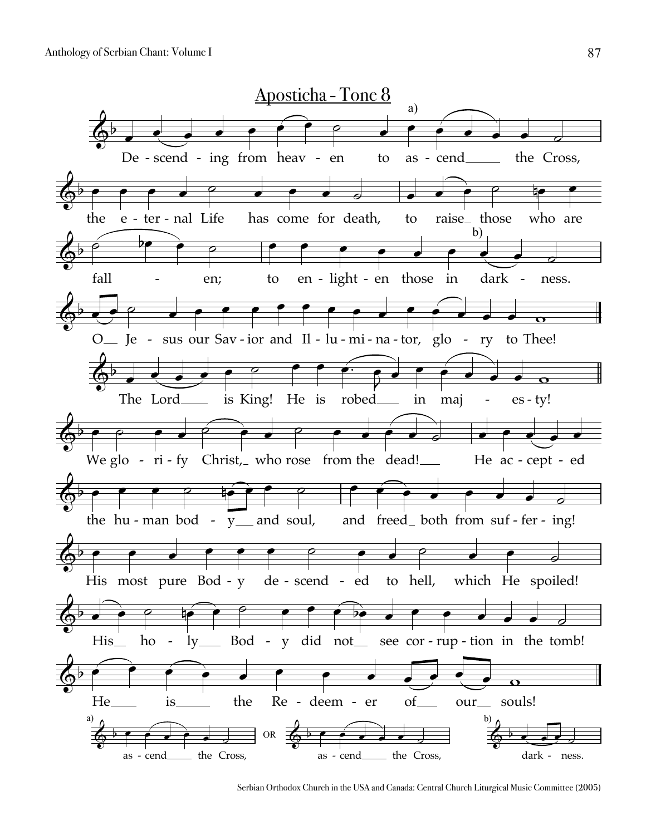

Serbian Orthodox Church in the USA and Canada: Central Church Liturgical Music Committee (2005)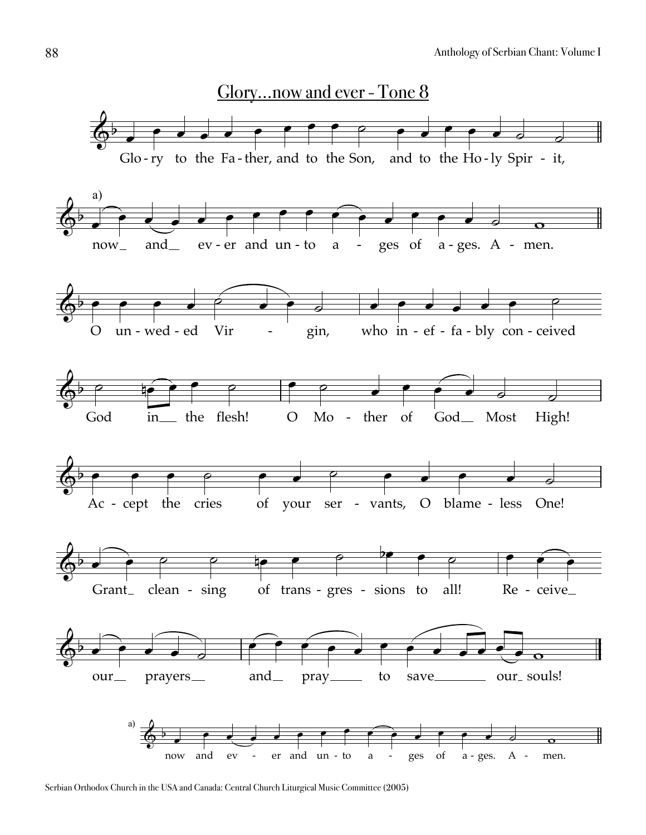

Serbian Orthodox Church in the USA and Canada: Central Church Liturgical Music Committee (2005)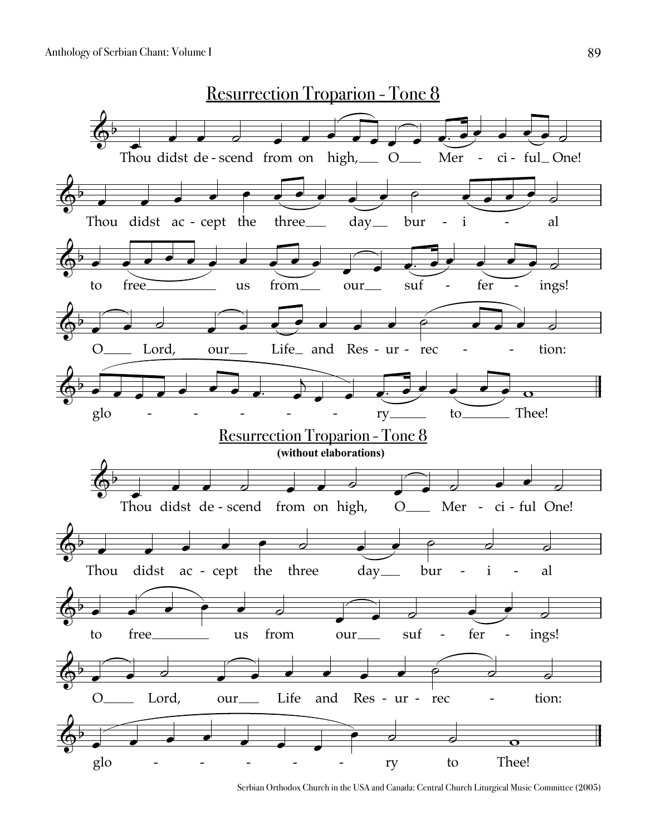

Serbian Orthodox Church in the USA and Canada: Central Church Liturgical Music Committee (2005)